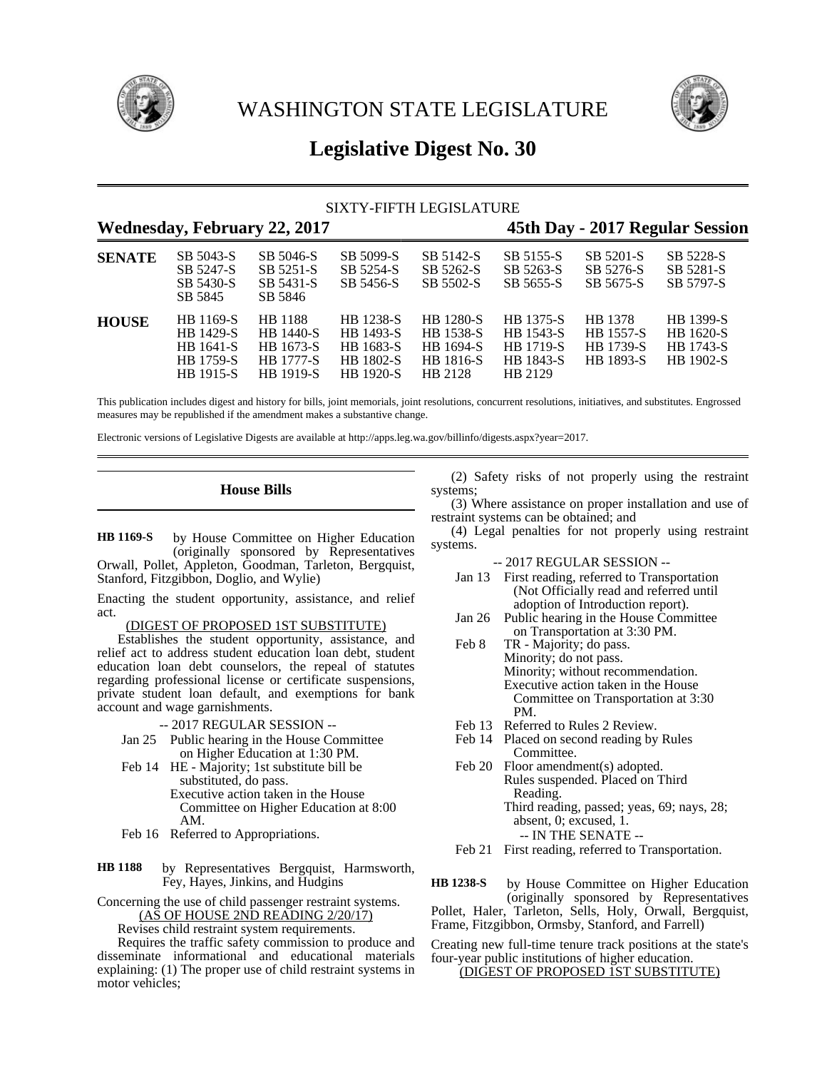

WASHINGTON STATE LEGISLATURE



# **Legislative Digest No. 30**

| SIXTY-FIFTH LEGISLATURE             |                                                                      |                                                                                         |                                                                             |                                                                           |                                                                    |                                                                     |                                                         |
|-------------------------------------|----------------------------------------------------------------------|-----------------------------------------------------------------------------------------|-----------------------------------------------------------------------------|---------------------------------------------------------------------------|--------------------------------------------------------------------|---------------------------------------------------------------------|---------------------------------------------------------|
| <b>Wednesday, February 22, 2017</b> |                                                                      |                                                                                         |                                                                             |                                                                           | 45th Day - 2017 Regular Session                                    |                                                                     |                                                         |
| <b>SENATE</b>                       | SB 5043-S<br>SB 5247-S<br>SB 5430-S<br>SB 5845                       | SB 5046-S<br>SB 5251-S<br>SB 5431-S<br>SB 5846                                          | SB 5099-S<br>SB 5254-S<br>SB 5456-S                                         | SB 5142-S<br>SB 5262-S<br>SB 5502-S                                       | SB 5155-S<br>SB 5263-S<br>SB 5655-S                                | SB 5201-S<br>SB 5276-S<br>SB 5675-S                                 | SB 5228-S<br>SB 5281-S<br>SB 5797-S                     |
| <b>HOUSE</b>                        | HB 1169-S<br>HB 1429-S<br>HB 1641-S<br><b>HB</b> 1759-S<br>HB 1915-S | <b>HB</b> 1188<br><b>HB</b> 1440-S<br>HB 1673-S<br><b>HB</b> 1777-S<br><b>HB</b> 1919-S | <b>HB</b> 1238-S<br>HB 1493-S<br>HB 1683-S<br>HB 1802-S<br><b>HB</b> 1920-S | <b>HB</b> 1280-S<br><b>HB</b> 1538-S<br>HB 1694-S<br>HB 1816-S<br>HB 2128 | HB 1375-S<br>HB 1543-S<br><b>HB</b> 1719-S<br>HB 1843-S<br>HB 2129 | HB 1378<br><b>HB</b> 1557-S<br><b>HB</b> 1739-S<br><b>HB</b> 1893-S | HB 1399-S<br>HB 1620-S<br><b>HB</b> 1743-S<br>HB 1902-S |

This publication includes digest and history for bills, joint memorials, joint resolutions, concurrent resolutions, initiatives, and substitutes. Engrossed measures may be republished if the amendment makes a substantive change.

Electronic versions of Legislative Digests are available at http://apps.leg.wa.gov/billinfo/digests.aspx?year=2017.

# **House Bills**

by House Committee on Higher Education (originally sponsored by Representatives Orwall, Pollet, Appleton, Goodman, Tarleton, Bergquist, Stanford, Fitzgibbon, Doglio, and Wylie) **HB 1169-S**

Enacting the student opportunity, assistance, and relief act.

## (DIGEST OF PROPOSED 1ST SUBSTITUTE)

Establishes the student opportunity, assistance, and relief act to address student education loan debt, student education loan debt counselors, the repeal of statutes regarding professional license or certificate suspensions, private student loan default, and exemptions for bank account and wage garnishments.

-- 2017 REGULAR SESSION --

- Jan 25 Public hearing in the House Committee on Higher Education at 1:30 PM.
- Feb 14 HE Majority; 1st substitute bill be substituted, do pass. Executive action taken in the House Committee on Higher Education at 8:00 AM.
- Feb 16 Referred to Appropriations.
- by Representatives Bergquist, Harmsworth, Fey, Hayes, Jinkins, and Hudgins **HB 1188**

Concerning the use of child passenger restraint systems. (AS OF HOUSE 2ND READING 2/20/17) Revises child restraint system requirements.

Requires the traffic safety commission to produce and disseminate informational and educational materials explaining: (1) The proper use of child restraint systems in motor vehicles;

(2) Safety risks of not properly using the restraint systems;

(3) Where assistance on proper installation and use of restraint systems can be obtained; and

(4) Legal penalties for not properly using restraint systems.

-- 2017 REGULAR SESSION --

- Jan 13 First reading, referred to Transportation (Not Officially read and referred until adoption of Introduction report).
- Jan 26 Public hearing in the House Committee on Transportation at 3:30 PM.
- Feb 8 TR Majority; do pass. Minority; do not pass. Minority; without recommendation. Executive action taken in the House Committee on Transportation at 3:30 PM.
- Feb 13 Referred to Rules 2 Review.
- Feb 14 Placed on second reading by Rules Committee.
- Feb 20 Floor amendment(s) adopted. Rules suspended. Placed on Third Reading. Third reading, passed; yeas, 69; nays, 28; absent, 0; excused, 1. -- IN THE SENATE --
- Feb 21 First reading, referred to Transportation.

by House Committee on Higher Education (originally sponsored by Representatives Pollet, Haler, Tarleton, Sells, Holy, Orwall, Bergquist, **HB 1238-S**

Frame, Fitzgibbon, Ormsby, Stanford, and Farrell)

Creating new full-time tenure track positions at the state's four-year public institutions of higher education. (DIGEST OF PROPOSED 1ST SUBSTITUTE)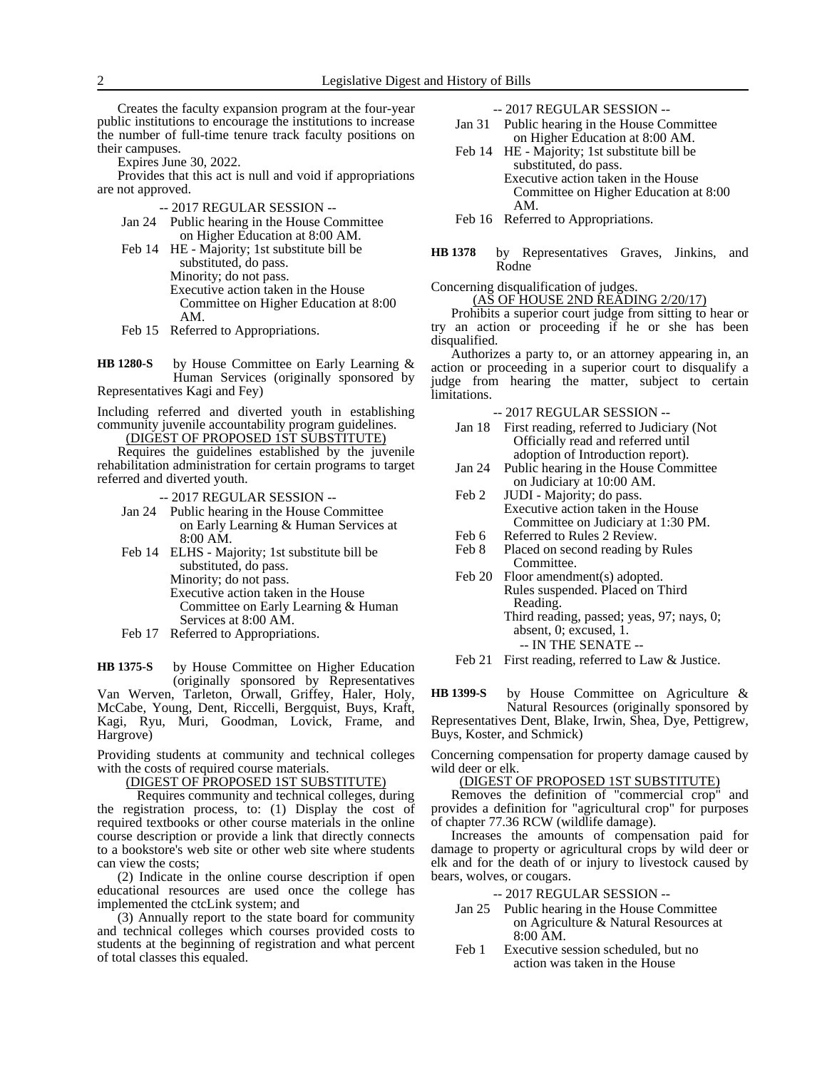Creates the faculty expansion program at the four-year public institutions to encourage the institutions to increase the number of full-time tenure track faculty positions on their campuses.

Expires June 30, 2022.

Provides that this act is null and void if appropriations are not approved.

-- 2017 REGULAR SESSION --

- Jan 24 Public hearing in the House Committee on Higher Education at 8:00 AM.
- Feb 14 HE Majority; 1st substitute bill be substituted, do pass. Minority; do not pass. Executive action taken in the House Committee on Higher Education at 8:00 AM.
- Feb 15 Referred to Appropriations.

by House Committee on Early Learning & Human Services (originally sponsored by Representatives Kagi and Fey) **HB 1280-S**

Including referred and diverted youth in establishing community juvenile accountability program guidelines.

(DIGEST OF PROPOSED 1ST SUBSTITUTE)

Requires the guidelines established by the juvenile rehabilitation administration for certain programs to target referred and diverted youth.

-- 2017 REGULAR SESSION --

- Jan 24 Public hearing in the House Committee on Early Learning & Human Services at 8:00 AM.
- Feb 14 ELHS Majority; 1st substitute bill be substituted, do pass. Minority; do not pass. Executive action taken in the House Committee on Early Learning & Human Services at 8:00 AM.
- Feb 17 Referred to Appropriations.

by House Committee on Higher Education (originally sponsored by Representatives Van Werven, Tarleton, Orwall, Griffey, Haler, Holy, McCabe, Young, Dent, Riccelli, Bergquist, Buys, Kraft, Kagi, Ryu, Muri, Goodman, Lovick, Frame, and Hargrove) **HB 1375-S**

Providing students at community and technical colleges with the costs of required course materials.

# (DIGEST OF PROPOSED 1ST SUBSTITUTE)

Requires community and technical colleges, during the registration process, to: (1) Display the cost of required textbooks or other course materials in the online course description or provide a link that directly connects to a bookstore's web site or other web site where students can view the costs;

(2) Indicate in the online course description if open educational resources are used once the college has implemented the ctcLink system; and

(3) Annually report to the state board for community and technical colleges which courses provided costs to students at the beginning of registration and what percent of total classes this equaled.

-- 2017 REGULAR SESSION --

- Jan 31 Public hearing in the House Committee on Higher Education at 8:00 AM.
- Feb 14 HE Majority; 1st substitute bill be substituted, do pass. Executive action taken in the House

Committee on Higher Education at 8:00 AM.

Feb 16 Referred to Appropriations.

by Representatives Graves, Jinkins, and Rodne **HB 1378**

Concerning disqualification of judges.

(AS OF HOUSE 2ND READING 2/20/17)

Prohibits a superior court judge from sitting to hear or try an action or proceeding if he or she has been disqualified.

Authorizes a party to, or an attorney appearing in, an action or proceeding in a superior court to disqualify a judge from hearing the matter, subject to certain limitations.

-- 2017 REGULAR SESSION --

- Jan 18 First reading, referred to Judiciary (Not Officially read and referred until adoption of Introduction report).
- Jan 24 Public hearing in the House Committee on Judiciary at 10:00 AM.
- Feb 2 JUDI Majority; do pass. Executive action taken in the House Committee on Judiciary at 1:30 PM.
- Feb 6 Referred to Rules 2 Review.<br>Feb 8 Placed on second reading by
- Placed on second reading by Rules Committee.
- Feb 20 Floor amendment(s) adopted. Rules suspended. Placed on Third Reading. Third reading, passed; yeas, 97; nays, 0; absent, 0; excused, 1. -- IN THE SENATE --
- Feb 21 First reading, referred to Law & Justice.

by House Committee on Agriculture & Natural Resources (originally sponsored by Representatives Dent, Blake, Irwin, Shea, Dye, Pettigrew, Buys, Koster, and Schmick) **HB 1399-S**

Concerning compensation for property damage caused by wild deer or elk.

#### (DIGEST OF PROPOSED 1ST SUBSTITUTE)

Removes the definition of "commercial crop" and provides a definition for "agricultural crop" for purposes of chapter 77.36 RCW (wildlife damage).

Increases the amounts of compensation paid for damage to property or agricultural crops by wild deer or elk and for the death of or injury to livestock caused by bears, wolves, or cougars.

#### -- 2017 REGULAR SESSION --

- Jan 25 Public hearing in the House Committee on Agriculture & Natural Resources at 8:00 AM.
- Feb 1 Executive session scheduled, but no action was taken in the House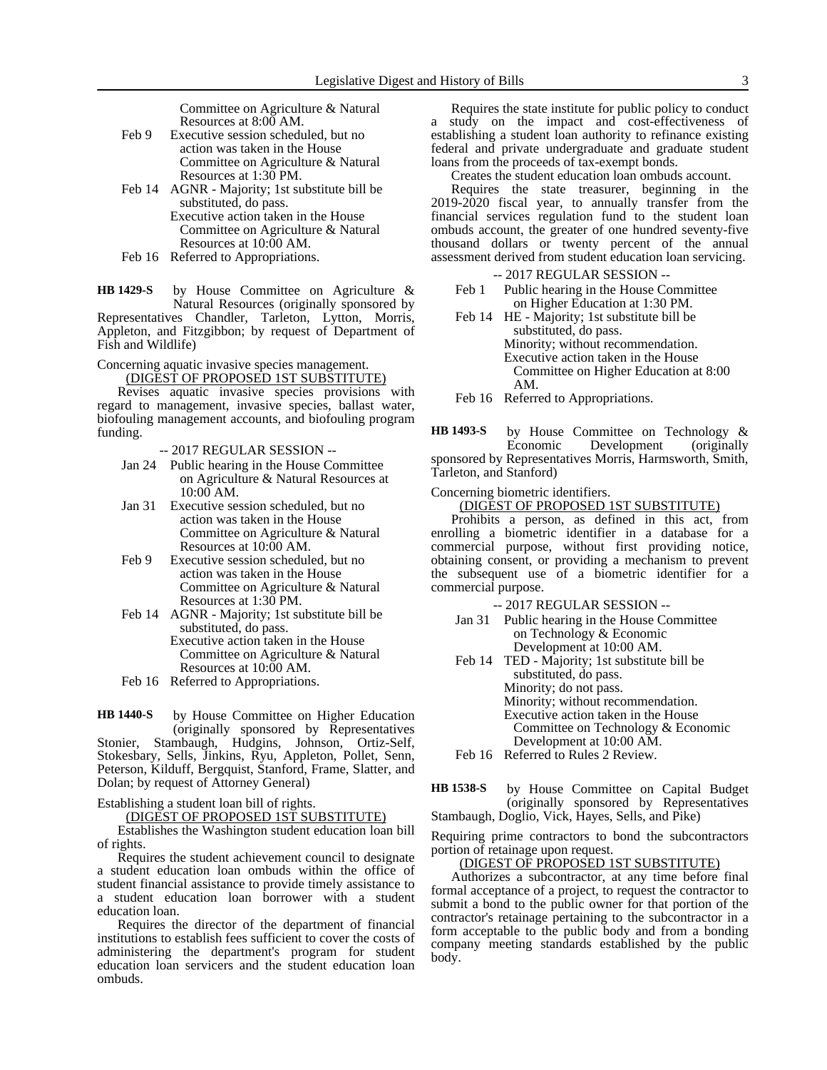Committee on Agriculture & Natural Resources at 8:00 AM.

- Feb 9 Executive session scheduled, but no action was taken in the House Committee on Agriculture & Natural Resources at 1:30 PM.
- Feb 14 AGNR Majority; 1st substitute bill be substituted, do pass. Executive action taken in the House Committee on Agriculture & Natural
- Resources at 10:00 AM.
- Feb 16 Referred to Appropriations.

by House Committee on Agriculture & Natural Resources (originally sponsored by Representatives Chandler, Tarleton, Lytton, Morris, Appleton, and Fitzgibbon; by request of Department of Fish and Wildlife) **HB 1429-S**

Concerning aquatic invasive species management. (DIGEST OF PROPOSED 1ST SUBSTITUTE)

Revises aquatic invasive species provisions with regard to management, invasive species, ballast water, biofouling management accounts, and biofouling program funding.

-- 2017 REGULAR SESSION --

- Jan 24 Public hearing in the House Committee on Agriculture & Natural Resources at 10:00 AM.
- Jan 31 Executive session scheduled, but no action was taken in the House Committee on Agriculture & Natural Resources at 10:00 AM.
- Feb 9 Executive session scheduled, but no action was taken in the House Committee on Agriculture & Natural Resources at 1:30 PM.
- Feb 14 AGNR Majority; 1st substitute bill be substituted, do pass. Executive action taken in the House Committee on Agriculture & Natural Resources at 10:00 AM.
- Feb 16 Referred to Appropriations.

by House Committee on Higher Education (originally sponsored by Representatives Stonier, Stambaugh, Hudgins, Johnson, Ortiz-Self, Stokesbary, Sells, Jinkins, Ryu, Appleton, Pollet, Senn, Peterson, Kilduff, Bergquist, Stanford, Frame, Slatter, and Dolan; by request of Attorney General) **HB 1440-S**

Establishing a student loan bill of rights.

(DIGEST OF PROPOSED 1ST SUBSTITUTE)

Establishes the Washington student education loan bill of rights.

Requires the student achievement council to designate a student education loan ombuds within the office of student financial assistance to provide timely assistance to a student education loan borrower with a student education loan.

Requires the director of the department of financial institutions to establish fees sufficient to cover the costs of administering the department's program for student education loan servicers and the student education loan ombuds.

Requires the state institute for public policy to conduct a study on the impact and cost-effectiveness of establishing a student loan authority to refinance existing federal and private undergraduate and graduate student loans from the proceeds of tax-exempt bonds.

Creates the student education loan ombuds account.

Requires the state treasurer, beginning in the 2019-2020 fiscal year, to annually transfer from the financial services regulation fund to the student loan ombuds account, the greater of one hundred seventy-five thousand dollars or twenty percent of the annual assessment derived from student education loan servicing.

-- 2017 REGULAR SESSION --

Feb 1 Public hearing in the House Committee on Higher Education at 1:30 PM.

Feb 14 HE - Majority; 1st substitute bill be substituted, do pass. Minority; without recommendation. Executive action taken in the House Committee on Higher Education at 8:00 AM.

Feb 16 Referred to Appropriations.

by House Committee on Technology &<br>Economic Development (originally Development (originally sponsored by Representatives Morris, Harmsworth, Smith, Tarleton, and Stanford) **HB 1493-S**

Concerning biometric identifiers.

(DIGEST OF PROPOSED 1ST SUBSTITUTE)

Prohibits a person, as defined in this act, from enrolling a biometric identifier in a database for a commercial purpose, without first providing notice, obtaining consent, or providing a mechanism to prevent the subsequent use of a biometric identifier for a commercial purpose.

-- 2017 REGULAR SESSION --

Jan 31 Public hearing in the House Committee on Technology & Economic Development at 10:00 AM. Feb 14 TED - Majority; 1st substitute bill be substituted, do pass. Minority; do not pass.

Minority; without recommendation. Executive action taken in the House

Committee on Technology & Economic Development at 10:00 AM.

Feb 16 Referred to Rules 2 Review.

by House Committee on Capital Budget (originally sponsored by Representatives **HB 1538-S**

Stambaugh, Doglio, Vick, Hayes, Sells, and Pike)

Requiring prime contractors to bond the subcontractors portion of retainage upon request.

#### (DIGEST OF PROPOSED 1ST SUBSTITUTE)

Authorizes a subcontractor, at any time before final formal acceptance of a project, to request the contractor to submit a bond to the public owner for that portion of the contractor's retainage pertaining to the subcontractor in a form acceptable to the public body and from a bonding company meeting standards established by the public body.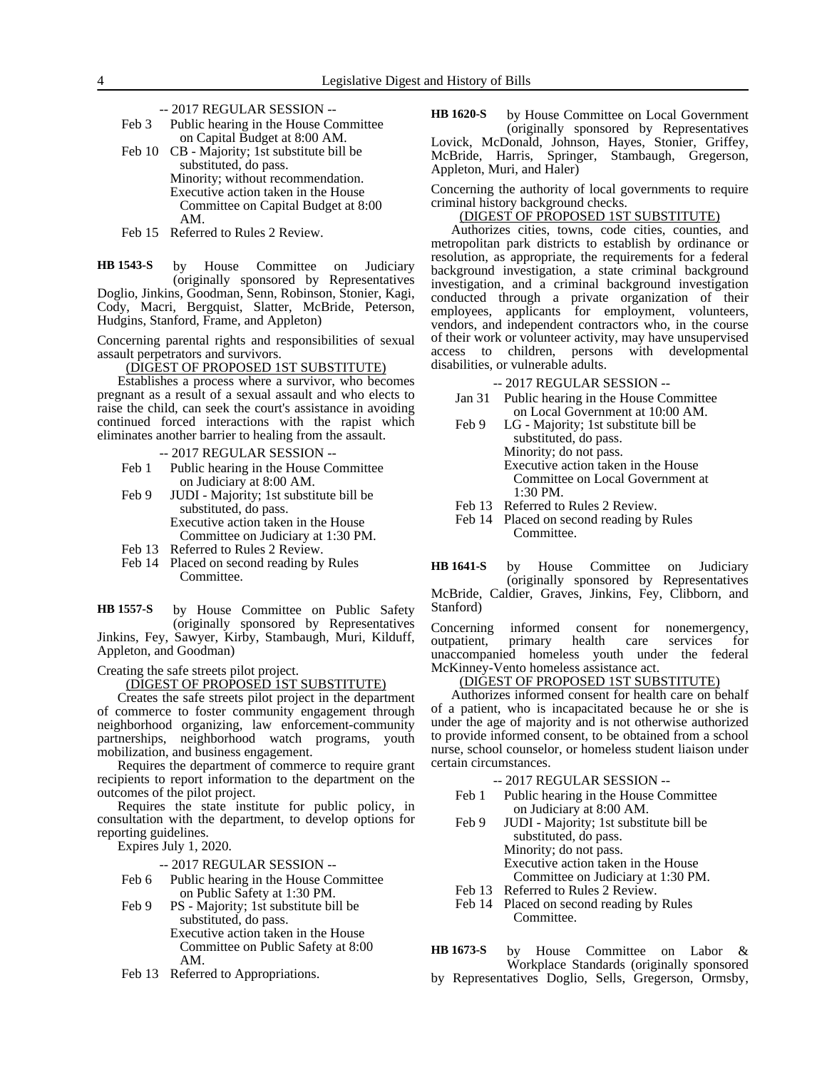-- 2017 REGULAR SESSION --

| Feb 3  | Public hearing in the House Committee |
|--------|---------------------------------------|
|        | on Capital Budget at 8:00 AM.         |
| Feb 10 | CB - Majority; 1st substitute bill be |

- substituted, do pass. Minority; without recommendation. Executive action taken in the House Committee on Capital Budget at 8:00 AM.
- Feb 15 Referred to Rules 2 Review.

by House Committee on Judiciary (originally sponsored by Representatives Doglio, Jinkins, Goodman, Senn, Robinson, Stonier, Kagi, Cody, Macri, Bergquist, Slatter, McBride, Peterson, Hudgins, Stanford, Frame, and Appleton) **HB 1543-S**

Concerning parental rights and responsibilities of sexual assault perpetrators and survivors.

(DIGEST OF PROPOSED 1ST SUBSTITUTE)

Establishes a process where a survivor, who becomes pregnant as a result of a sexual assault and who elects to raise the child, can seek the court's assistance in avoiding continued forced interactions with the rapist which eliminates another barrier to healing from the assault.

-- 2017 REGULAR SESSION --

- Feb 1 Public hearing in the House Committee on Judiciary at 8:00 AM.
- Feb 9 JUDI Majority; 1st substitute bill be substituted, do pass. Executive action taken in the House

Committee on Judiciary at 1:30 PM.

- Feb 13 Referred to Rules 2 Review.
- Feb 14 Placed on second reading by Rules Committee.

by House Committee on Public Safety (originally sponsored by Representatives Jinkins, Fey, Sawyer, Kirby, Stambaugh, Muri, Kilduff, Appleton, and Goodman) **HB 1557-S**

Creating the safe streets pilot project.

(DIGEST OF PROPOSED 1ST SUBSTITUTE)

Creates the safe streets pilot project in the department of commerce to foster community engagement through neighborhood organizing, law enforcement-community partnerships, neighborhood watch programs, youth mobilization, and business engagement.

Requires the department of commerce to require grant recipients to report information to the department on the outcomes of the pilot project.

Requires the state institute for public policy, in consultation with the department, to develop options for reporting guidelines.

Expires July 1, 2020.

-- 2017 REGULAR SESSION --

- Feb 6 Public hearing in the House Committee on Public Safety at 1:30 PM.
- Feb 9 PS Majority; 1st substitute bill be substituted, do pass. Executive action taken in the House Committee on Public Safety at 8:00 AM.
- Feb 13 Referred to Appropriations.

by House Committee on Local Government (originally sponsored by Representatives Lovick, McDonald, Johnson, Hayes, Stonier, Griffey, McBride, Harris, Springer, Stambaugh, Gregerson, Appleton, Muri, and Haler) **HB 1620-S**

Concerning the authority of local governments to require criminal history background checks.

#### (DIGEST OF PROPOSED 1ST SUBSTITUTE)

Authorizes cities, towns, code cities, counties, and metropolitan park districts to establish by ordinance or resolution, as appropriate, the requirements for a federal background investigation, a state criminal background investigation, and a criminal background investigation conducted through a private organization of their employees, applicants for employment, volunteers, vendors, and independent contractors who, in the course of their work or volunteer activity, may have unsupervised access to children, persons with developmental disabilities, or vulnerable adults.

-- 2017 REGULAR SESSION --

- Jan 31 Public hearing in the House Committee on Local Government at 10:00 AM.
- Feb 9 LG Majority; 1st substitute bill be substituted, do pass. Minority; do not pass. Executive action taken in the House Committee on Local Government at 1:30 PM.
- Feb 13 Referred to Rules 2 Review.
- Feb 14 Placed on second reading by Rules Committee.

by House Committee on Judiciary (originally sponsored by Representatives **HB 1641-S**

McBride, Caldier, Graves, Jinkins, Fey, Clibborn, and Stanford)

Concerning informed consent for nonemergency, outpatient, primary health care services for unaccompanied homeless youth under the federal McKinney-Vento homeless assistance act.

#### (DIGEST OF PROPOSED 1ST SUBSTITUTE)

Authorizes informed consent for health care on behalf of a patient, who is incapacitated because he or she is under the age of majority and is not otherwise authorized to provide informed consent, to be obtained from a school nurse, school counselor, or homeless student liaison under certain circumstances.

#### -- 2017 REGULAR SESSION --

- Feb 1 Public hearing in the House Committee on Judiciary at 8:00 AM.
- Feb 9 JUDI Majority; 1st substitute bill be substituted, do pass. Minority; do not pass. Executive action taken in the House Committee on Judiciary at 1:30 PM.
- Feb 13 Referred to Rules 2 Review.
- Feb 14 Placed on second reading by Rules Committee.

by House Committee on Labor & Workplace Standards (originally sponsored **HB 1673-S**

by Representatives Doglio, Sells, Gregerson, Ormsby,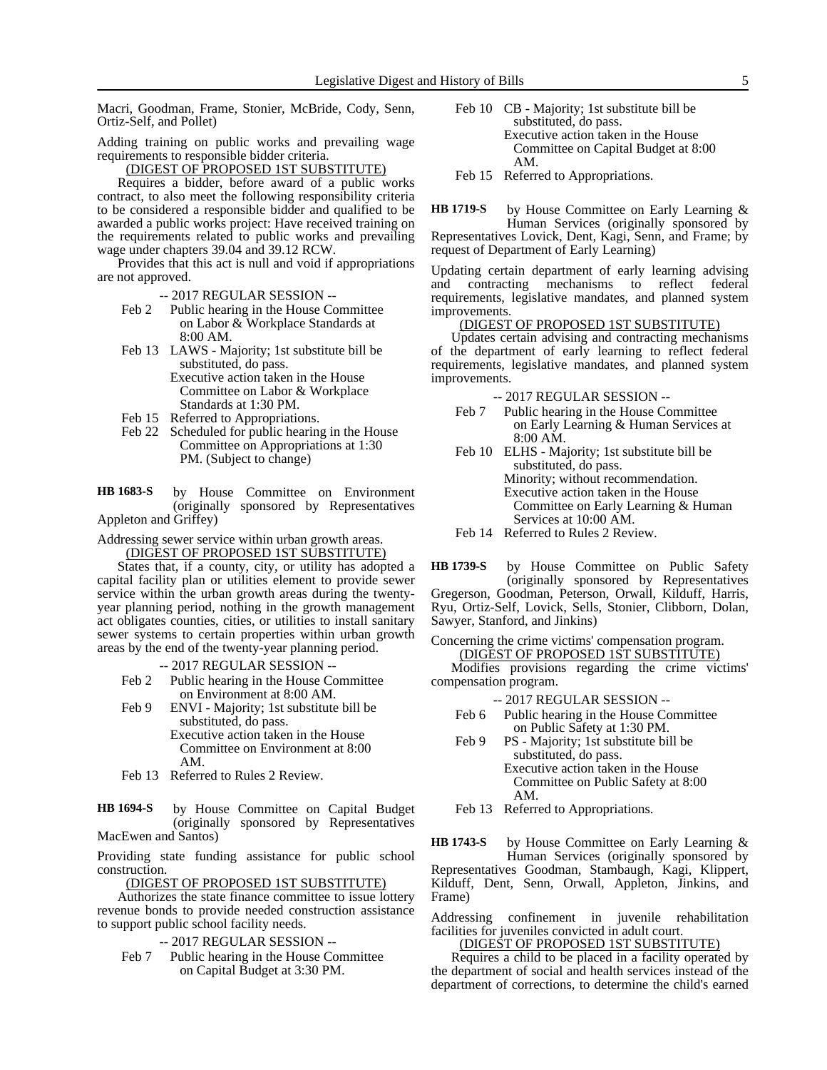Macri, Goodman, Frame, Stonier, McBride, Cody, Senn, Ortiz-Self, and Pollet)

Adding training on public works and prevailing wage requirements to responsible bidder criteria.

(DIGEST OF PROPOSED 1ST SUBSTITUTE)

Requires a bidder, before award of a public works contract, to also meet the following responsibility criteria to be considered a responsible bidder and qualified to be awarded a public works project: Have received training on the requirements related to public works and prevailing wage under chapters 39.04 and 39.12 RCW.

Provides that this act is null and void if appropriations are not approved.

-- 2017 REGULAR SESSION --

- Feb 2 Public hearing in the House Committee on Labor & Workplace Standards at 8:00 AM.
- Feb 13 LAWS Majority; 1st substitute bill be substituted, do pass. Executive action taken in the House

Committee on Labor & Workplace Standards at 1:30 PM. Feb 15 Referred to Appropriations.

Feb 22 Scheduled for public hearing in the House Committee on Appropriations at 1:30 PM. (Subject to change)

by House Committee on Environment (originally sponsored by Representatives Appleton and Griffey) **HB 1683-S**

Addressing sewer service within urban growth areas. (DIGEST OF PROPOSED 1ST SUBSTITUTE)

States that, if a county, city, or utility has adopted a capital facility plan or utilities element to provide sewer service within the urban growth areas during the twentyyear planning period, nothing in the growth management act obligates counties, cities, or utilities to install sanitary sewer systems to certain properties within urban growth areas by the end of the twenty-year planning period.

-- 2017 REGULAR SESSION --

Feb 2 Public hearing in the House Committee on Environment at 8:00 AM.

Feb 9 ENVI - Majority; 1st substitute bill be substituted, do pass. Executive action taken in the House Committee on Environment at 8:00 AM.

Feb 13 Referred to Rules 2 Review.

by House Committee on Capital Budget (originally sponsored by Representatives MacEwen and Santos) **HB 1694-S**

Providing state funding assistance for public school construction.

(DIGEST OF PROPOSED 1ST SUBSTITUTE)

Authorizes the state finance committee to issue lottery revenue bonds to provide needed construction assistance to support public school facility needs.

-- 2017 REGULAR SESSION --

Feb 7 Public hearing in the House Committee on Capital Budget at 3:30 PM.

Feb 10 CB - Majority; 1st substitute bill be substituted, do pass. Executive action taken in the House Committee on Capital Budget at 8:00 AM.

Feb 15 Referred to Appropriations.

by House Committee on Early Learning & Human Services (originally sponsored by **HB 1719-S**

Representatives Lovick, Dent, Kagi, Senn, and Frame; by request of Department of Early Learning)

Updating certain department of early learning advising and contracting mechanisms to reflect federal requirements, legislative mandates, and planned system improvements.

#### (DIGEST OF PROPOSED 1ST SUBSTITUTE)

Updates certain advising and contracting mechanisms of the department of early learning to reflect federal requirements, legislative mandates, and planned system improvements.

- -- 2017 REGULAR SESSION --
- Feb 7 Public hearing in the House Committee on Early Learning & Human Services at 8:00 AM.
- Feb 10 ELHS Majority; 1st substitute bill be substituted, do pass. Minority; without recommendation. Executive action taken in the House Committee on Early Learning & Human Services at 10:00 AM.
- Feb 14 Referred to Rules 2 Review.

by House Committee on Public Safety (originally sponsored by Representatives Gregerson, Goodman, Peterson, Orwall, Kilduff, Harris, Ryu, Ortiz-Self, Lovick, Sells, Stonier, Clibborn, Dolan, Sawyer, Stanford, and Jinkins) **HB 1739-S**

Concerning the crime victims' compensation program. (DIGEST OF PROPOSED 1ST SUBSTITUTE)

Modifies provisions regarding the crime victims' compensation program.

-- 2017 REGULAR SESSION --

- Feb 6 Public hearing in the House Committee on Public Safety at 1:30 PM.
- Feb 9 PS Majority; 1st substitute bill be substituted, do pass. Executive action taken in the House

Committee on Public Safety at 8:00 AM.

Feb 13 Referred to Appropriations.

by House Committee on Early Learning & Human Services (originally sponsored by Representatives Goodman, Stambaugh, Kagi, Klippert, Kilduff, Dent, Senn, Orwall, Appleton, Jinkins, and Frame) **HB 1743-S**

Addressing confinement in juvenile rehabilitation facilities for juveniles convicted in adult court.

(DIGEST OF PROPOSED 1ST SUBSTITUTE)

Requires a child to be placed in a facility operated by the department of social and health services instead of the department of corrections, to determine the child's earned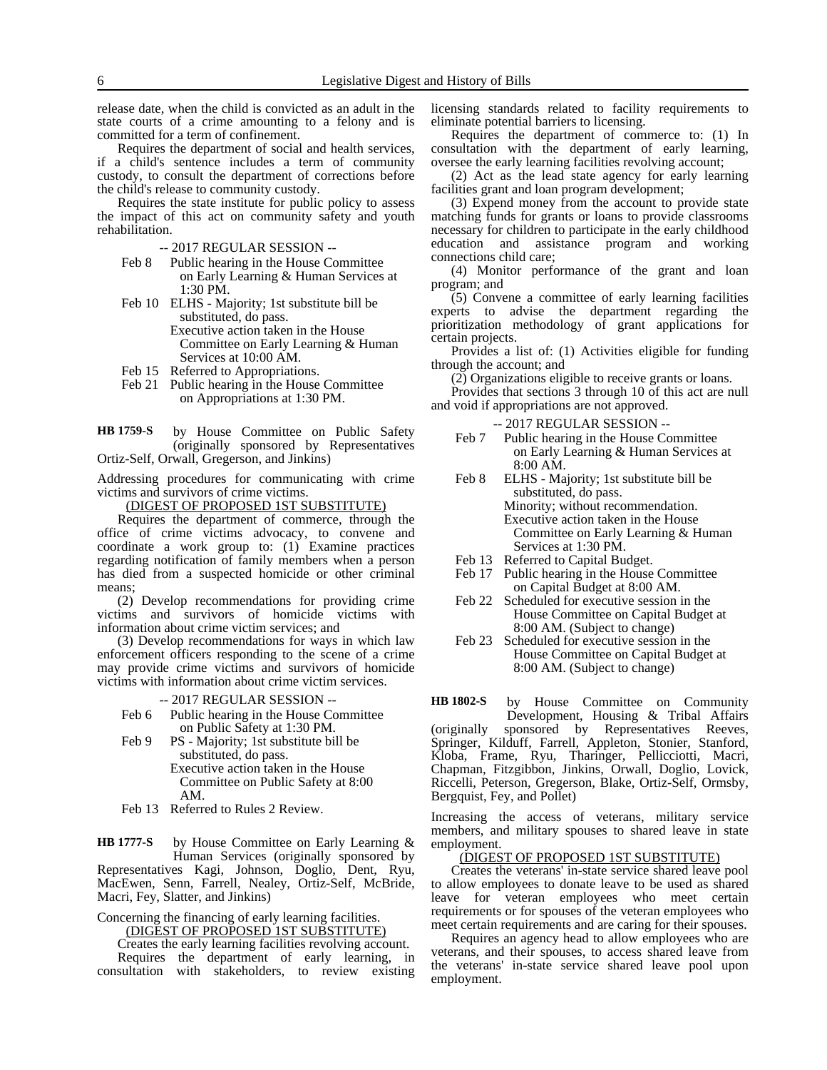release date, when the child is convicted as an adult in the state courts of a crime amounting to a felony and is committed for a term of confinement.

Requires the department of social and health services, if a child's sentence includes a term of community custody, to consult the department of corrections before the child's release to community custody.

Requires the state institute for public policy to assess the impact of this act on community safety and youth rehabilitation.

-- 2017 REGULAR SESSION --

- Feb 8 Public hearing in the House Committee on Early Learning & Human Services at 1:30 PM.
- Feb 10 ELHS Majority; 1st substitute bill be substituted, do pass. Executive action taken in the House Committee on Early Learning & Human

Services at 10:00 AM.

- Feb 15 Referred to Appropriations.
- Feb 21 Public hearing in the House Committee on Appropriations at 1:30 PM.

by House Committee on Public Safety (originally sponsored by Representatives Ortiz-Self, Orwall, Gregerson, and Jinkins) **HB 1759-S**

Addressing procedures for communicating with crime victims and survivors of crime victims.

(DIGEST OF PROPOSED 1ST SUBSTITUTE)

Requires the department of commerce, through the office of crime victims advocacy, to convene and coordinate a work group to: (1) Examine practices regarding notification of family members when a person has died from a suspected homicide or other criminal means;

(2) Develop recommendations for providing crime victims and survivors of homicide victims with information about crime victim services; and

(3) Develop recommendations for ways in which law enforcement officers responding to the scene of a crime may provide crime victims and survivors of homicide victims with information about crime victim services.

-- 2017 REGULAR SESSION --

- Feb 6 Public hearing in the House Committee on Public Safety at 1:30 PM.
- Feb 9 PS Majority; 1st substitute bill be substituted, do pass.
	- Executive action taken in the House Committee on Public Safety at 8:00 AM.
- Feb 13 Referred to Rules 2 Review.

by House Committee on Early Learning & Human Services (originally sponsored by Representatives Kagi, Johnson, Doglio, Dent, Ryu, MacEwen, Senn, Farrell, Nealey, Ortiz-Self, McBride, Macri, Fey, Slatter, and Jinkins) **HB 1777-S**

Concerning the financing of early learning facilities. (DIGEST OF PROPOSED 1ST SUBSTITUTE)

Creates the early learning facilities revolving account.

Requires the department of early learning, in consultation with stakeholders, to review existing licensing standards related to facility requirements to eliminate potential barriers to licensing.

Requires the department of commerce to: (1) In consultation with the department of early learning, oversee the early learning facilities revolving account;

(2) Act as the lead state agency for early learning facilities grant and loan program development;

(3) Expend money from the account to provide state matching funds for grants or loans to provide classrooms necessary for children to participate in the early childhood education and assistance program and working connections child care;

(4) Monitor performance of the grant and loan program; and

(5) Convene a committee of early learning facilities experts to advise the department regarding the prioritization methodology of grant applications for certain projects.

Provides a list of: (1) Activities eligible for funding through the account; and

(2) Organizations eligible to receive grants or loans.

Provides that sections 3 through 10 of this act are null and void if appropriations are not approved.

-- 2017 REGULAR SESSION --

- Feb 7 Public hearing in the House Committee on Early Learning & Human Services at 8:00 AM.
- Feb 8 ELHS Majority; 1st substitute bill be substituted, do pass. Minority; without recommendation. Executive action taken in the House
- Committee on Early Learning & Human Services at 1:30 PM. Feb 13 Referred to Capital Budget.
- Feb 17 Public hearing in the House Committee
- on Capital Budget at 8:00 AM.
- Feb 22 Scheduled for executive session in the House Committee on Capital Budget at 8:00 AM. (Subject to change)
- Feb 23 Scheduled for executive session in the House Committee on Capital Budget at 8:00 AM. (Subject to change)

by House Committee on Community Development, Housing & Tribal Affairs (originally sponsored by Representatives Reeves, Springer, Kilduff, Farrell, Appleton, Stonier, Stanford, Kloba, Frame, Ryu, Tharinger, Pellicciotti, Macri, Chapman, Fitzgibbon, Jinkins, Orwall, Doglio, Lovick, Riccelli, Peterson, Gregerson, Blake, Ortiz-Self, Ormsby, Bergquist, Fey, and Pollet) **HB 1802-S**

Increasing the access of veterans, military service members, and military spouses to shared leave in state employment.

#### (DIGEST OF PROPOSED 1ST SUBSTITUTE)

Creates the veterans' in-state service shared leave pool to allow employees to donate leave to be used as shared leave for veteran employees who meet certain requirements or for spouses of the veteran employees who meet certain requirements and are caring for their spouses.

Requires an agency head to allow employees who are veterans, and their spouses, to access shared leave from the veterans' in-state service shared leave pool upon employment.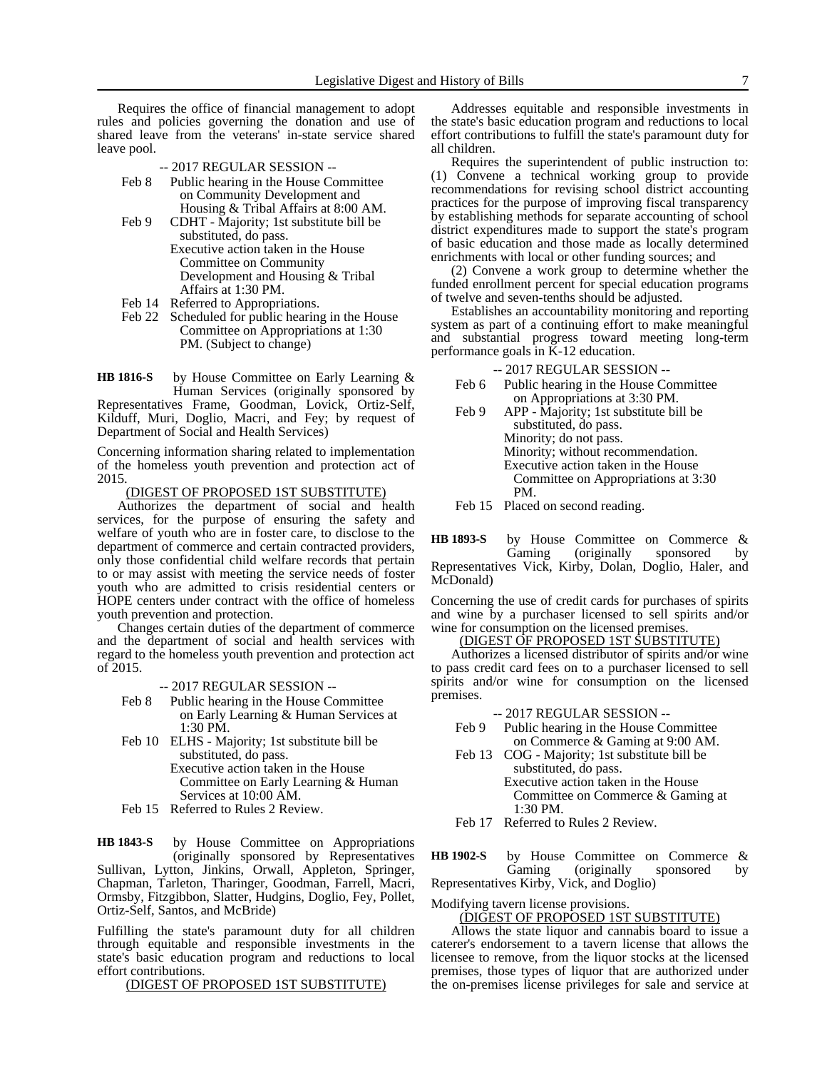Requires the office of financial management to adopt rules and policies governing the donation and use of shared leave from the veterans' in-state service shared leave pool.

- -- 2017 REGULAR SESSION --
- Feb 8 Public hearing in the House Committee on Community Development and Housing & Tribal Affairs at 8:00 AM.
- Feb 9 CDHT Majority; 1st substitute bill be substituted, do pass. Executive action taken in the House Committee on Community Development and Housing & Tribal Affairs at 1:30 PM.
- Feb 14 Referred to Appropriations.
- Feb 22 Scheduled for public hearing in the House Committee on Appropriations at 1:30 PM. (Subject to change)

by House Committee on Early Learning & Human Services (originally sponsored by Representatives Frame, Goodman, Lovick, Ortiz-Self, Kilduff, Muri, Doglio, Macri, and Fey; by request of Department of Social and Health Services) **HB 1816-S**

Concerning information sharing related to implementation of the homeless youth prevention and protection act of 2015.

#### (DIGEST OF PROPOSED 1ST SUBSTITUTE)

Authorizes the department of social and health services, for the purpose of ensuring the safety and welfare of youth who are in foster care, to disclose to the department of commerce and certain contracted providers, only those confidential child welfare records that pertain to or may assist with meeting the service needs of foster youth who are admitted to crisis residential centers or HOPE centers under contract with the office of homeless youth prevention and protection.

Changes certain duties of the department of commerce and the department of social and health services with regard to the homeless youth prevention and protection act of 2015.

- -- 2017 REGULAR SESSION --
- Feb 8 Public hearing in the House Committee on Early Learning & Human Services at 1:30 PM.
- Feb 10 ELHS Majority; 1st substitute bill be substituted, do pass.

Executive action taken in the House Committee on Early Learning & Human Services at 10:00 AM.

Feb 15 Referred to Rules 2 Review.

by House Committee on Appropriations (originally sponsored by Representatives Sullivan, Lytton, Jinkins, Orwall, Appleton, Springer, Chapman, Tarleton, Tharinger, Goodman, Farrell, Macri, Ormsby, Fitzgibbon, Slatter, Hudgins, Doglio, Fey, Pollet, Ortiz-Self, Santos, and McBride) **HB 1843-S**

Fulfilling the state's paramount duty for all children through equitable and responsible investments in the state's basic education program and reductions to local effort contributions.

(DIGEST OF PROPOSED 1ST SUBSTITUTE)

Addresses equitable and responsible investments in the state's basic education program and reductions to local effort contributions to fulfill the state's paramount duty for all children.

Requires the superintendent of public instruction to: (1) Convene a technical working group to provide recommendations for revising school district accounting practices for the purpose of improving fiscal transparency by establishing methods for separate accounting of school district expenditures made to support the state's program of basic education and those made as locally determined enrichments with local or other funding sources; and

(2) Convene a work group to determine whether the funded enrollment percent for special education programs of twelve and seven-tenths should be adjusted.

Establishes an accountability monitoring and reporting system as part of a continuing effort to make meaningful and substantial progress toward meeting long-term performance goals in K-12 education.

-- 2017 REGULAR SESSION --

- Feb 6 Public hearing in the House Committee on Appropriations at 3:30 PM.
- Feb 9 APP Majority; 1st substitute bill be substituted, do pass. Minority; do not pass. Minority; without recommendation. Executive action taken in the House Committee on Appropriations at 3:30 PM.
- Feb 15 Placed on second reading.

by House Committee on Commerce & Gaming (originally sponsored by Representatives Vick, Kirby, Dolan, Doglio, Haler, and McDonald) **HB 1893-S**

Concerning the use of credit cards for purchases of spirits and wine by a purchaser licensed to sell spirits and/or wine for consumption on the licensed premises.

(DIGEST OF PROPOSED 1ST SUBSTITUTE)

Authorizes a licensed distributor of spirits and/or wine to pass credit card fees on to a purchaser licensed to sell spirits and/or wine for consumption on the licensed premises.

- -- 2017 REGULAR SESSION --
- Feb 9 Public hearing in the House Committee on Commerce & Gaming at 9:00 AM.
- Feb 13 COG Majority; 1st substitute bill be substituted, do pass. Executive action taken in the House Committee on Commerce & Gaming at 1:30 PM.
- Feb 17 Referred to Rules 2 Review.

by House Committee on Commerce & Gaming (originally sponsored by Representatives Kirby, Vick, and Doglio) **HB 1902-S**

Modifying tavern license provisions.

(DIGEST OF PROPOSED 1ST SUBSTITUTE)

Allows the state liquor and cannabis board to issue a caterer's endorsement to a tavern license that allows the licensee to remove, from the liquor stocks at the licensed premises, those types of liquor that are authorized under the on-premises license privileges for sale and service at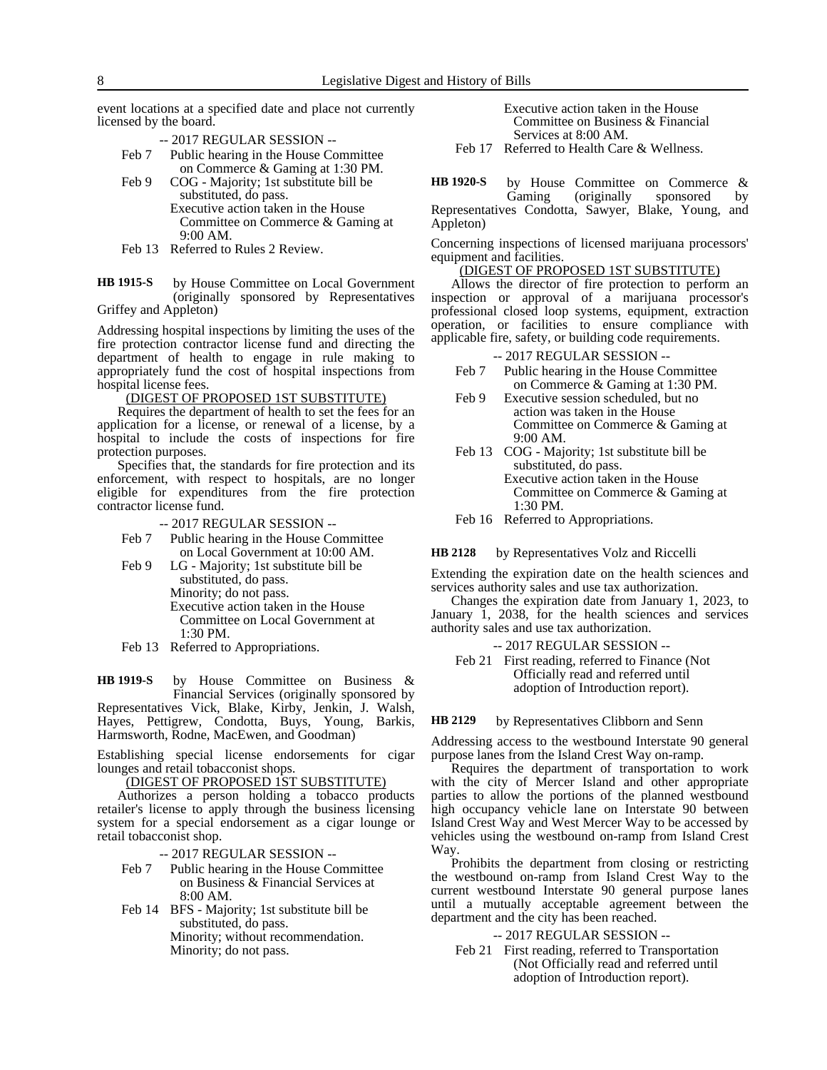event locations at a specified date and place not currently licensed by the board.

-- 2017 REGULAR SESSION --

- Feb 7 Public hearing in the House Committee on Commerce & Gaming at 1:30 PM.
- Feb 9 COG Majority; 1st substitute bill be substituted, do pass. Executive action taken in the House Committee on Commerce & Gaming at 9:00 AM.
- Feb 13 Referred to Rules 2 Review.

by House Committee on Local Government (originally sponsored by Representatives Griffey and Appleton) **HB 1915-S**

Addressing hospital inspections by limiting the uses of the fire protection contractor license fund and directing the department of health to engage in rule making to appropriately fund the cost of hospital inspections from hospital license fees.

(DIGEST OF PROPOSED 1ST SUBSTITUTE)

Requires the department of health to set the fees for an application for a license, or renewal of a license, by a hospital to include the costs of inspections for fire protection purposes.

Specifies that, the standards for fire protection and its enforcement, with respect to hospitals, are no longer eligible for expenditures from the fire protection contractor license fund.

-- 2017 REGULAR SESSION --

- Feb 7 Public hearing in the House Committee on Local Government at 10:00 AM.
- Feb 9 LG Majority; 1st substitute bill be substituted, do pass.

Minority; do not pass. Executive action taken in the House Committee on Local Government at 1:30 PM.

Feb 13 Referred to Appropriations.

by House Committee on Business & Financial Services (originally sponsored by Representatives Vick, Blake, Kirby, Jenkin, J. Walsh, **HB 1919-S**

Hayes, Pettigrew, Condotta, Buys, Young, Barkis, Harmsworth, Rodne, MacEwen, and Goodman)

Establishing special license endorsements for cigar lounges and retail tobacconist shops.

(DIGEST OF PROPOSED 1ST SUBSTITUTE)

Authorizes a person holding a tobacco products retailer's license to apply through the business licensing system for a special endorsement as a cigar lounge or retail tobacconist shop.

-- 2017 REGULAR SESSION --

- Feb 7 Public hearing in the House Committee on Business & Financial Services at 8:00 AM.
- Feb 14 BFS Majority; 1st substitute bill be substituted, do pass. Minority; without recommendation. Minority; do not pass.

Executive action taken in the House Committee on Business & Financial Services at 8:00 AM.

Feb 17 Referred to Health Care & Wellness.

by House Committee on Commerce & Gaming (originally sponsored by Representatives Condotta, Sawyer, Blake, Young, and **HB 1920-S**

Appleton) Concerning inspections of licensed marijuana processors' equipment and facilities.

#### (DIGEST OF PROPOSED 1ST SUBSTITUTE)

Allows the director of fire protection to perform an inspection or approval of a marijuana processor's professional closed loop systems, equipment, extraction operation, or facilities to ensure compliance with applicable fire, safety, or building code requirements.

-- 2017 REGULAR SESSION --

- Feb 7 Public hearing in the House Committee on Commerce & Gaming at 1:30 PM.
- Feb 9 Executive session scheduled, but no action was taken in the House Committee on Commerce & Gaming at 9:00 AM.
- Feb 13 COG Majority; 1st substitute bill be substituted, do pass. Executive action taken in the House Committee on Commerce & Gaming at 1:30 PM.

Feb 16 Referred to Appropriations.

by Representatives Volz and Riccelli **HB 2128**

Extending the expiration date on the health sciences and services authority sales and use tax authorization.

Changes the expiration date from January 1, 2023, to January 1, 2038, for the health sciences and services authority sales and use tax authorization.

-- 2017 REGULAR SESSION --

Feb 21 First reading, referred to Finance (Not Officially read and referred until adoption of Introduction report).

by Representatives Clibborn and Senn **HB 2129**

Addressing access to the westbound Interstate 90 general purpose lanes from the Island Crest Way on-ramp.

Requires the department of transportation to work with the city of Mercer Island and other appropriate parties to allow the portions of the planned westbound high occupancy vehicle lane on Interstate 90 between Island Crest Way and West Mercer Way to be accessed by vehicles using the westbound on-ramp from Island Crest Way.

Prohibits the department from closing or restricting the westbound on-ramp from Island Crest Way to the current westbound Interstate 90 general purpose lanes until a mutually acceptable agreement between the department and the city has been reached.

-- 2017 REGULAR SESSION --

Feb 21 First reading, referred to Transportation (Not Officially read and referred until adoption of Introduction report).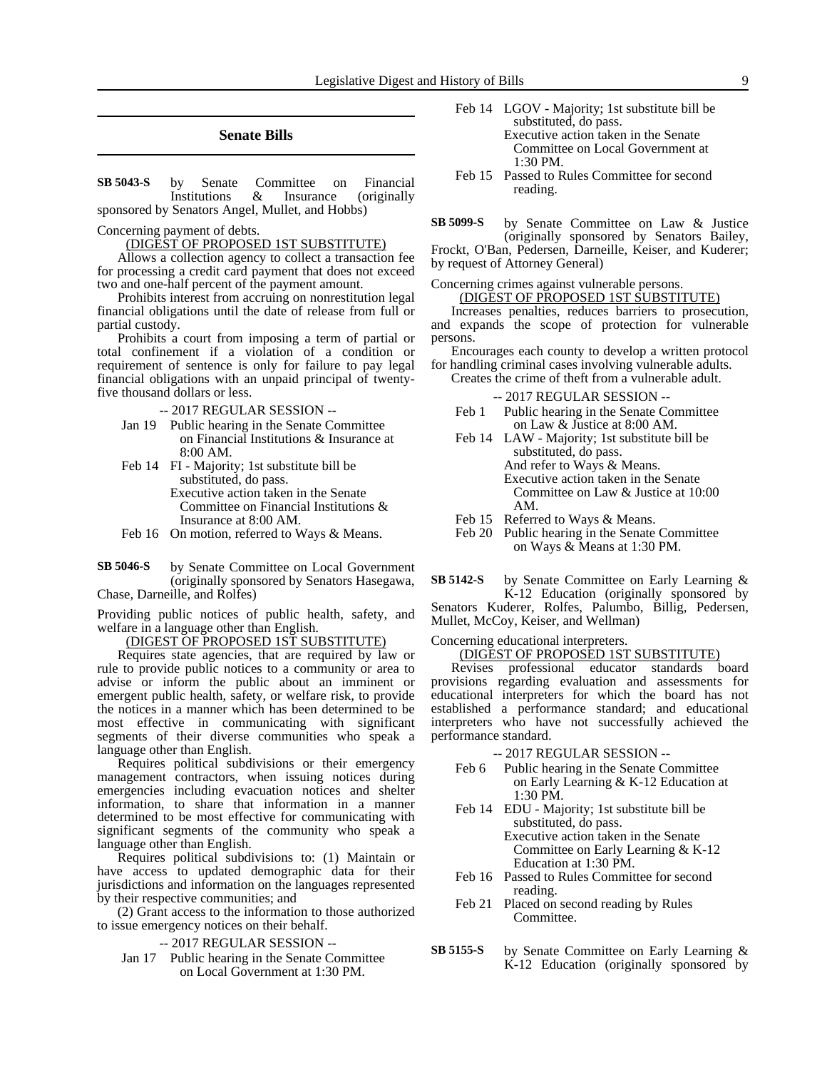#### **Senate Bills**

by Senate Committee on Financial Institutions & Insurance (originally sponsored by Senators Angel, Mullet, and Hobbs) **SB 5043-S**

Concerning payment of debts.

(DIGEST OF PROPOSED 1ST SUBSTITUTE)

Allows a collection agency to collect a transaction fee for processing a credit card payment that does not exceed two and one-half percent of the payment amount.

Prohibits interest from accruing on nonrestitution legal financial obligations until the date of release from full or partial custody.

Prohibits a court from imposing a term of partial or total confinement if a violation of a condition or requirement of sentence is only for failure to pay legal financial obligations with an unpaid principal of twentyfive thousand dollars or less.

-- 2017 REGULAR SESSION --

- Jan 19 Public hearing in the Senate Committee on Financial Institutions & Insurance at 8:00 AM.
- Feb 14 FI Majority; 1st substitute bill be substituted, do pass. Executive action taken in the Senate Committee on Financial Institutions & Insurance at 8:00 AM.
- Feb 16 On motion, referred to Ways & Means.
- by Senate Committee on Local Government (originally sponsored by Senators Hasegawa, Chase, Darneille, and Rolfes) **SB 5046-S**

Providing public notices of public health, safety, and welfare in a language other than English.

(DIGEST OF PROPOSED 1ST SUBSTITUTE)

Requires state agencies, that are required by law or rule to provide public notices to a community or area to advise or inform the public about an imminent or emergent public health, safety, or welfare risk, to provide the notices in a manner which has been determined to be most effective in communicating with significant segments of their diverse communities who speak a language other than English.

Requires political subdivisions or their emergency management contractors, when issuing notices during emergencies including evacuation notices and shelter information, to share that information in a manner determined to be most effective for communicating with significant segments of the community who speak a language other than English.

Requires political subdivisions to: (1) Maintain or have access to updated demographic data for their jurisdictions and information on the languages represented by their respective communities; and

(2) Grant access to the information to those authorized to issue emergency notices on their behalf.

- -- 2017 REGULAR SESSION --
- Jan 17 Public hearing in the Senate Committee on Local Government at 1:30 PM.
- Feb 14 LGOV Majority; 1st substitute bill be substituted, do pass. Executive action taken in the Senate Committee on Local Government at 1:30 PM.
- Feb 15 Passed to Rules Committee for second reading.

by Senate Committee on Law & Justice (originally sponsored by Senators Bailey, Frockt, O'Ban, Pedersen, Darneille, Keiser, and Kuderer; by request of Attorney General) **SB 5099-S**

#### Concerning crimes against vulnerable persons. (DIGEST OF PROPOSED 1ST SUBSTITUTE)

Increases penalties, reduces barriers to prosecution, and expands the scope of protection for vulnerable persons.

Encourages each county to develop a written protocol for handling criminal cases involving vulnerable adults.

Creates the crime of theft from a vulnerable adult.

-- 2017 REGULAR SESSION --

- Feb 1 Public hearing in the Senate Committee on Law & Justice at 8:00 AM.
- Feb 14 LAW Majority; 1st substitute bill be substituted, do pass. And refer to Ways & Means. Executive action taken in the Senate Committee on Law & Justice at 10:00 AM.
- Feb 15 Referred to Ways & Means.
- Feb 20 Public hearing in the Senate Committee on Ways & Means at 1:30 PM.
- by Senate Committee on Early Learning & K-12 Education (originally sponsored by **SB 5142-S**

Senators Kuderer, Rolfes, Palumbo, Billig, Pedersen, Mullet, McCoy, Keiser, and Wellman)

Concerning educational interpreters.

## (DIGEST OF PROPOSED 1ST SUBSTITUTE)

Revises professional educator standards board provisions regarding evaluation and assessments for educational interpreters for which the board has not established a performance standard; and educational interpreters who have not successfully achieved the performance standard.

- -- 2017 REGULAR SESSION --
- Feb 6 Public hearing in the Senate Committee on Early Learning & K-12 Education at 1:30 PM.
- Feb 14 EDU Majority; 1st substitute bill be substituted, do pass. Executive action taken in the Senate Committee on Early Learning & K-12 Education at 1:30 PM.
- Feb 16 Passed to Rules Committee for second reading.
- Feb 21 Placed on second reading by Rules Committee.
- by Senate Committee on Early Learning & K-12 Education (originally sponsored by **SB 5155-S**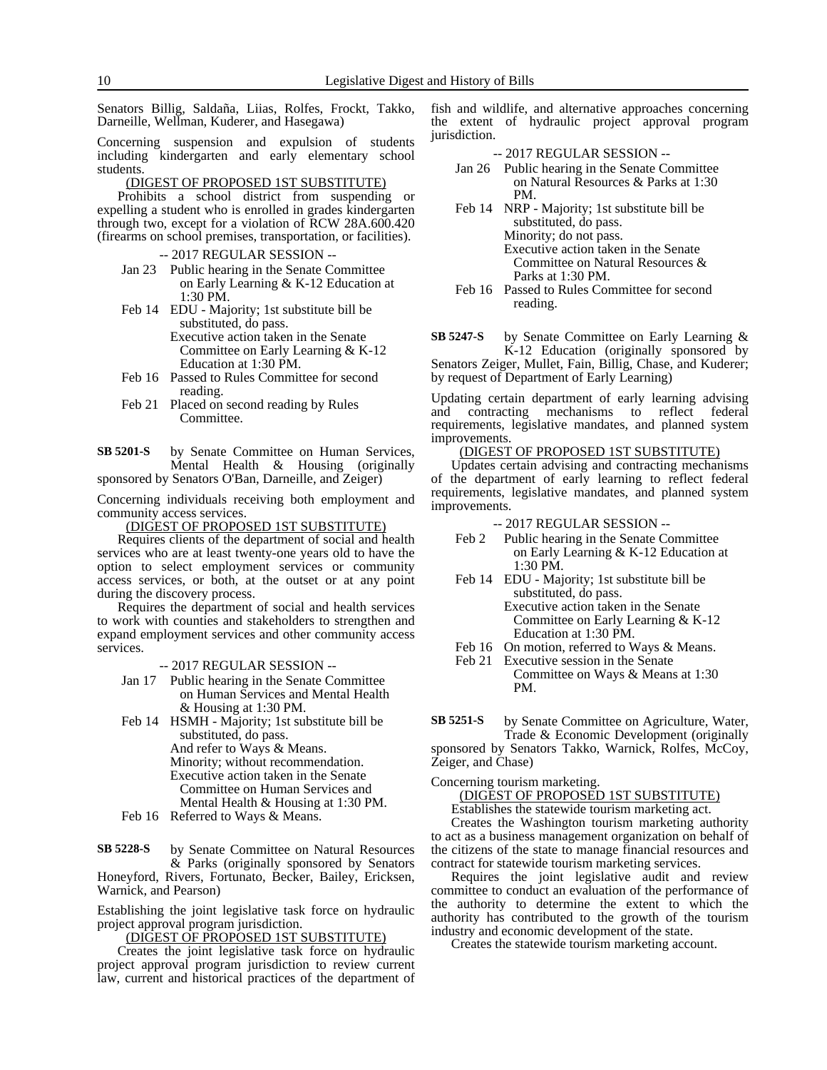Senators Billig, Saldaña, Liias, Rolfes, Frockt, Takko, Darneille, Wellman, Kuderer, and Hasegawa)

Concerning suspension and expulsion of students including kindergarten and early elementary school students.

#### (DIGEST OF PROPOSED 1ST SUBSTITUTE)

Prohibits a school district from suspending or expelling a student who is enrolled in grades kindergarten through two, except for a violation of RCW 28A.600.420 (firearms on school premises, transportation, or facilities).

#### -- 2017 REGULAR SESSION --

- Jan 23 Public hearing in the Senate Committee on Early Learning & K-12 Education at 1:30 PM.
- Feb 14 EDU Majority; 1st substitute bill be substituted, do pass. Executive action taken in the Senate Committee on Early Learning & K-12 Education at 1:30 PM.
- Feb 16 Passed to Rules Committee for second reading.
- Feb 21 Placed on second reading by Rules Committee.

by Senate Committee on Human Services, Mental Health & Housing (originally sponsored by Senators O'Ban, Darneille, and Zeiger) **SB 5201-S**

Concerning individuals receiving both employment and community access services.

(DIGEST OF PROPOSED 1ST SUBSTITUTE)

Requires clients of the department of social and health services who are at least twenty-one years old to have the option to select employment services or community access services, or both, at the outset or at any point during the discovery process.

Requires the department of social and health services to work with counties and stakeholders to strengthen and expand employment services and other community access services.

-- 2017 REGULAR SESSION --

- Jan 17 Public hearing in the Senate Committee on Human Services and Mental Health & Housing at 1:30 PM.
- Feb 14 HSMH Majority; 1st substitute bill be substituted, do pass. And refer to Ways & Means.

Minority; without recommendation.

Executive action taken in the Senate Committee on Human Services and

Mental Health & Housing at 1:30 PM.

Feb 16 Referred to Ways & Means.

by Senate Committee on Natural Resources & Parks (originally sponsored by Senators Honeyford, Rivers, Fortunato, Becker, Bailey, Ericksen, Warnick, and Pearson) **SB 5228-S**

Establishing the joint legislative task force on hydraulic project approval program jurisdiction.

(DIGEST OF PROPOSED 1ST SUBSTITUTE)

Creates the joint legislative task force on hydraulic project approval program jurisdiction to review current law, current and historical practices of the department of fish and wildlife, and alternative approaches concerning the extent of hydraulic project approval program jurisdiction.

-- 2017 REGULAR SESSION --

- Jan 26 Public hearing in the Senate Committee on Natural Resources & Parks at 1:30 PM.
- Feb 14 NRP Majority; 1st substitute bill be substituted, do pass. Minority; do not pass. Executive action taken in the Senate Committee on Natural Resources & Parks at 1:30 PM.
- Feb 16 Passed to Rules Committee for second reading.

by Senate Committee on Early Learning & K-12 Education (originally sponsored by Senators Zeiger, Mullet, Fain, Billig, Chase, and Kuderer; by request of Department of Early Learning) **SB 5247-S**

Updating certain department of early learning advising and contracting mechanisms to reflect federal requirements, legislative mandates, and planned system improvements.

#### (DIGEST OF PROPOSED 1ST SUBSTITUTE)

Updates certain advising and contracting mechanisms of the department of early learning to reflect federal requirements, legislative mandates, and planned system improvements.

#### -- 2017 REGULAR SESSION --

- Feb 2 Public hearing in the Senate Committee on Early Learning & K-12 Education at 1:30 PM.
- Feb 14 EDU Majority; 1st substitute bill be substituted, do pass. Executive action taken in the Senate Committee on Early Learning & K-12 Education at 1:30 PM.
- Feb 16 On motion, referred to Ways & Means.
- Feb 21 Executive session in the Senate Committee on Ways & Means at 1:30 PM.

by Senate Committee on Agriculture, Water, Trade & Economic Development (originally **SB 5251-S**

sponsored by Senators Takko, Warnick, Rolfes, McCoy, Zeiger, and Chase)

Concerning tourism marketing.

(DIGEST OF PROPOSED 1ST SUBSTITUTE) Establishes the statewide tourism marketing act.

Creates the Washington tourism marketing authority to act as a business management organization on behalf of the citizens of the state to manage financial resources and contract for statewide tourism marketing services.

Requires the joint legislative audit and review committee to conduct an evaluation of the performance of the authority to determine the extent to which the authority has contributed to the growth of the tourism industry and economic development of the state.

Creates the statewide tourism marketing account.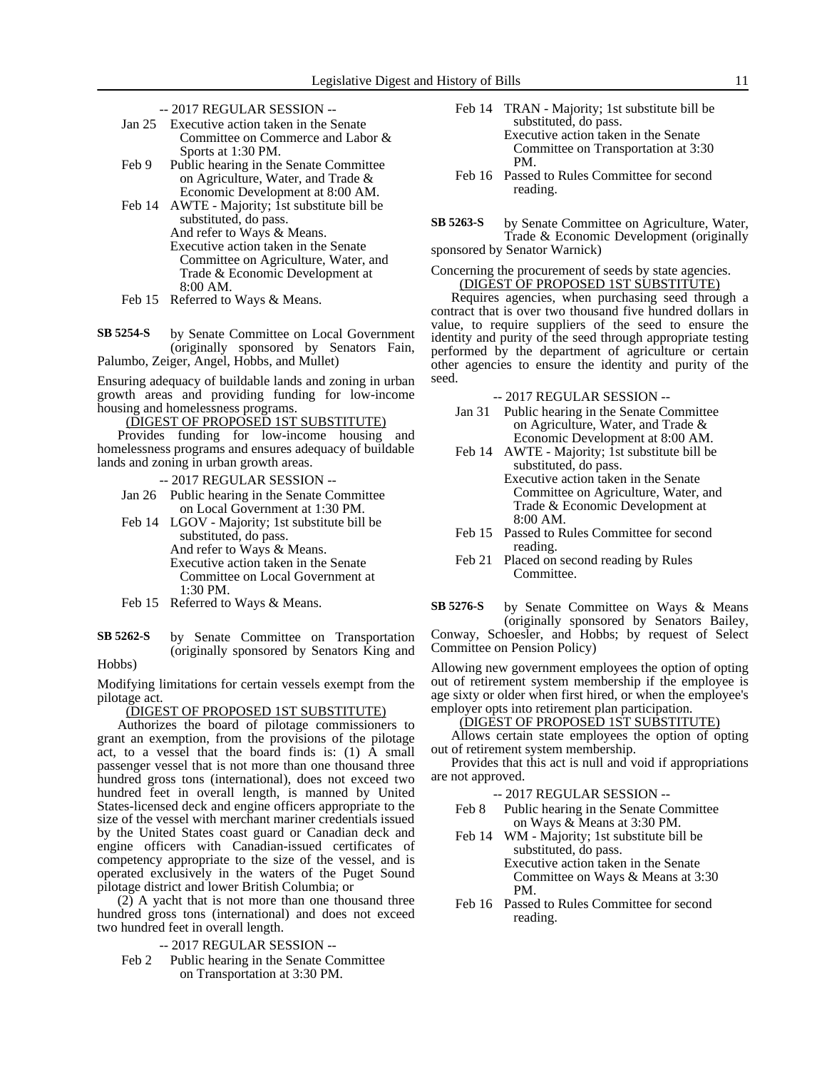- -- 2017 REGULAR SESSION --
- Jan 25 Executive action taken in the Senate Committee on Commerce and Labor & Sports at 1:30 PM.
- Feb 9 Public hearing in the Senate Committee on Agriculture, Water, and Trade & Economic Development at 8:00 AM.
- Feb 14 AWTE Majority; 1st substitute bill be substituted, do pass. And refer to Ways & Means. Executive action taken in the Senate Committee on Agriculture, Water, and Trade & Economic Development at 8:00 AM.
- Feb 15 Referred to Ways & Means.
- by Senate Committee on Local Government (originally sponsored by Senators Fain, Palumbo, Zeiger, Angel, Hobbs, and Mullet) **SB 5254-S**

Ensuring adequacy of buildable lands and zoning in urban growth areas and providing funding for low-income housing and homelessness programs.

(DIGEST OF PROPOSED 1ST SUBSTITUTE)

Provides funding for low-income housing and homelessness programs and ensures adequacy of buildable lands and zoning in urban growth areas.

- -- 2017 REGULAR SESSION --
- Jan 26 Public hearing in the Senate Committee on Local Government at 1:30 PM.
- Feb 14 LGOV Majority; 1st substitute bill be substituted, do pass. And refer to Ways & Means. Executive action taken in the Senate Committee on Local Government at 1:30 PM.
- Feb 15 Referred to Ways & Means.
- by Senate Committee on Transportation (originally sponsored by Senators King and Hobbs) **SB 5262-S**

Modifying limitations for certain vessels exempt from the pilotage act.

#### (DIGEST OF PROPOSED 1ST SUBSTITUTE)

Authorizes the board of pilotage commissioners to grant an exemption, from the provisions of the pilotage act, to a vessel that the board finds is: (1) A small passenger vessel that is not more than one thousand three hundred gross tons (international), does not exceed two hundred feet in overall length, is manned by United States-licensed deck and engine officers appropriate to the size of the vessel with merchant mariner credentials issued by the United States coast guard or Canadian deck and engine officers with Canadian-issued certificates of competency appropriate to the size of the vessel, and is operated exclusively in the waters of the Puget Sound pilotage district and lower British Columbia; or

(2) A yacht that is not more than one thousand three hundred gross tons (international) and does not exceed two hundred feet in overall length.

-- 2017 REGULAR SESSION --

Feb 2 Public hearing in the Senate Committee on Transportation at 3:30 PM.

- Feb 14 TRAN Majority; 1st substitute bill be substituted, do pass. Executive action taken in the Senate Committee on Transportation at 3:30 PM.
- Feb 16 Passed to Rules Committee for second reading.
- by Senate Committee on Agriculture, Water, Trade & Economic Development (originally sponsored by Senator Warnick) **SB 5263-S**

Concerning the procurement of seeds by state agencies. (DIGEST OF PROPOSED 1ST SUBSTITUTE)

Requires agencies, when purchasing seed through a contract that is over two thousand five hundred dollars in value, to require suppliers of the seed to ensure the identity and purity of the seed through appropriate testing performed by the department of agriculture or certain other agencies to ensure the identity and purity of the seed.

- -- 2017 REGULAR SESSION --
- Jan 31 Public hearing in the Senate Committee on Agriculture, Water, and Trade & Economic Development at 8:00 AM.
- Feb 14 AWTE Majority; 1st substitute bill be substituted, do pass. Executive action taken in the Senate
	- Committee on Agriculture, Water, and Trade & Economic Development at 8:00 AM.
- Feb 15 Passed to Rules Committee for second reading.
- Feb 21 Placed on second reading by Rules Committee.
- by Senate Committee on Ways & Means (originally sponsored by Senators Bailey, Conway, Schoesler, and Hobbs; by request of Select **SB 5276-S**

Committee on Pension Policy)

Allowing new government employees the option of opting out of retirement system membership if the employee is age sixty or older when first hired, or when the employee's employer opts into retirement plan participation.

#### (DIGEST OF PROPOSED 1ST SUBSTITUTE)

Allows certain state employees the option of opting out of retirement system membership.

Provides that this act is null and void if appropriations are not approved.

- -- 2017 REGULAR SESSION --
- Feb 8 Public hearing in the Senate Committee on Ways & Means at 3:30 PM.
- Feb 14 WM Majority; 1st substitute bill be substituted, do pass. Executive action taken in the Senate Committee on Ways & Means at 3:30 PM.
- Feb 16 Passed to Rules Committee for second reading.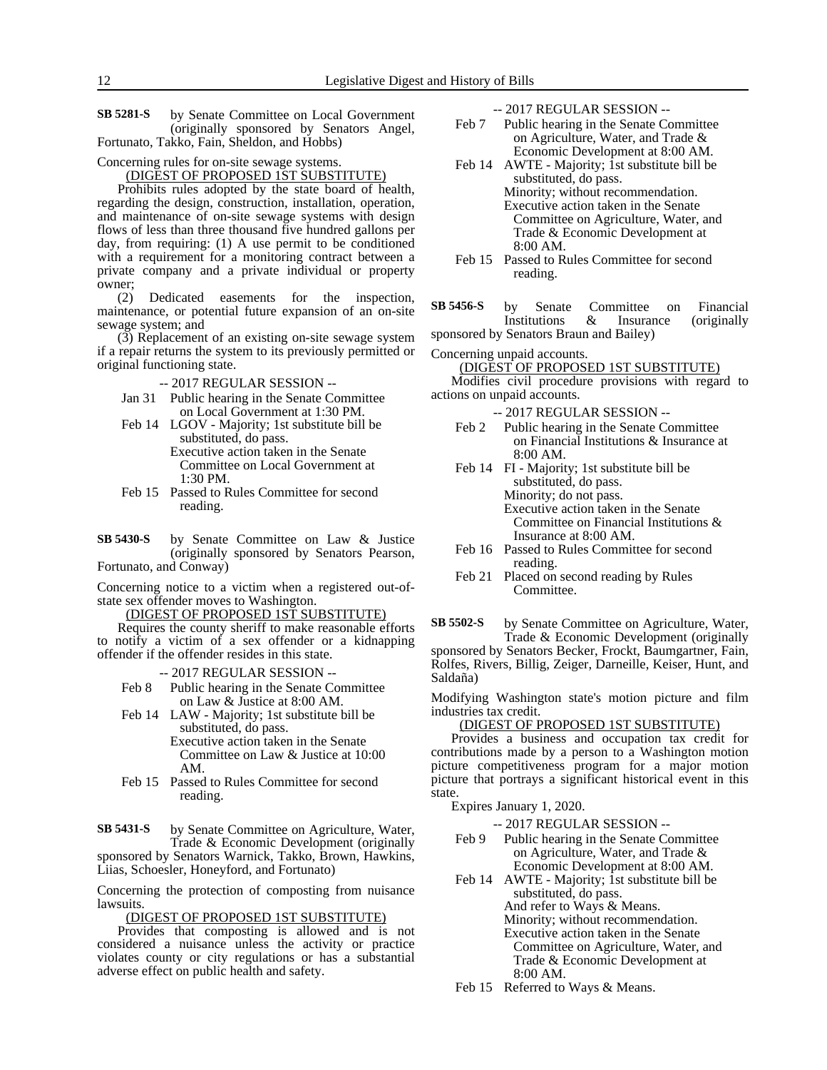by Senate Committee on Local Government (originally sponsored by Senators Angel, Fortunato, Takko, Fain, Sheldon, and Hobbs) **SB 5281-S**

# Concerning rules for on-site sewage systems.

(DIGEST OF PROPOSED 1ST SUBSTITUTE)

Prohibits rules adopted by the state board of health, regarding the design, construction, installation, operation, and maintenance of on-site sewage systems with design flows of less than three thousand five hundred gallons per day, from requiring: (1) A use permit to be conditioned with a requirement for a monitoring contract between a private company and a private individual or property owner;

(2) Dedicated easements for the inspection, maintenance, or potential future expansion of an on-site sewage system; and

(3) Replacement of an existing on-site sewage system if a repair returns the system to its previously permitted or original functioning state.

-- 2017 REGULAR SESSION --

- Jan 31 Public hearing in the Senate Committee on Local Government at 1:30 PM.
- Feb 14 LGOV Majority; 1st substitute bill be substituted, do pass.
	- Executive action taken in the Senate Committee on Local Government at 1:30 PM.
- Feb 15 Passed to Rules Committee for second reading.

by Senate Committee on Law & Justice (originally sponsored by Senators Pearson, Fortunato, and Conway) **SB 5430-S**

Concerning notice to a victim when a registered out-ofstate sex offender moves to Washington.

(DIGEST OF PROPOSED 1ST SUBSTITUTE)

Requires the county sheriff to make reasonable efforts to notify a victim of a sex offender or a kidnapping offender if the offender resides in this state.

-- 2017 REGULAR SESSION --

- Feb 8 Public hearing in the Senate Committee on Law & Justice at 8:00 AM.
- Feb 14 LAW Majority; 1st substitute bill be substituted, do pass. Executive action taken in the Senate Committee on Law & Justice at 10:00 AM.
- Feb 15 Passed to Rules Committee for second reading.

by Senate Committee on Agriculture, Water, Trade & Economic Development (originally sponsored by Senators Warnick, Takko, Brown, Hawkins, Liias, Schoesler, Honeyford, and Fortunato) **SB 5431-S**

Concerning the protection of composting from nuisance lawsuits.

#### (DIGEST OF PROPOSED 1ST SUBSTITUTE)

Provides that composting is allowed and is not considered a nuisance unless the activity or practice violates county or city regulations or has a substantial adverse effect on public health and safety.

-- 2017 REGULAR SESSION --

- Feb 7 Public hearing in the Senate Committee on Agriculture, Water, and Trade & Economic Development at 8:00 AM.
- Feb 14 AWTE Majority; 1st substitute bill be substituted, do pass. Minority; without recommendation. Executive action taken in the Senate Committee on Agriculture, Water, and Trade & Economic Development at 8:00 AM.
- Feb 15 Passed to Rules Committee for second reading.
- by Senate Committee on Financial Institutions & Insurance (originally sponsored by Senators Braun and Bailey) **SB 5456-S**

Concerning unpaid accounts.

(DIGEST OF PROPOSED 1ST SUBSTITUTE)

Modifies civil procedure provisions with regard to actions on unpaid accounts.

-- 2017 REGULAR SESSION --

- Feb 2 Public hearing in the Senate Committee on Financial Institutions & Insurance at 8:00 AM.
- Feb 14 FI Majority; 1st substitute bill be substituted, do pass. Minority; do not pass. Executive action taken in the Senate Committee on Financial Institutions & Insurance at 8:00 AM.
- Feb 16 Passed to Rules Committee for second reading.
- Feb 21 Placed on second reading by Rules Committee.

by Senate Committee on Agriculture, Water, Trade & Economic Development (originally sponsored by Senators Becker, Frockt, Baumgartner, Fain, Rolfes, Rivers, Billig, Zeiger, Darneille, Keiser, Hunt, and Saldaña) **SB 5502-S**

Modifying Washington state's motion picture and film industries tax credit.

#### (DIGEST OF PROPOSED 1ST SUBSTITUTE)

Provides a business and occupation tax credit for contributions made by a person to a Washington motion picture competitiveness program for a major motion picture that portrays a significant historical event in this state.

Expires January 1, 2020.

-- 2017 REGULAR SESSION --

- Feb 9 Public hearing in the Senate Committee on Agriculture, Water, and Trade & Economic Development at 8:00 AM.
- Feb 14 AWTE Majority; 1st substitute bill be substituted, do pass. And refer to Ways & Means. Minority; without recommendation.

Executive action taken in the Senate Committee on Agriculture, Water, and Trade & Economic Development at 8:00 AM.

Feb 15 Referred to Ways & Means.